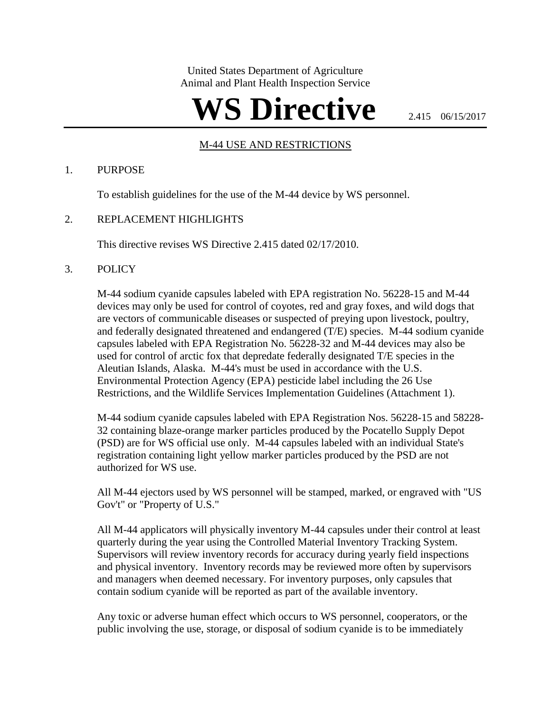United States Department of Agriculture Animal and Plant Health Inspection Service

# WS Directive **2.415 06/15/2017**

#### M-44 USE AND RESTRICTIONS

#### 1. PURPOSE

To establish guidelines for the use of the M-44 device by WS personnel.

#### 2. REPLACEMENT HIGHLIGHTS

This directive revises WS Directive 2.415 dated 02/17/2010.

#### 3. POLICY

M-44 sodium cyanide capsules labeled with EPA registration No. 56228-15 and M-44 devices may only be used for control of coyotes, red and gray foxes, and wild dogs that are vectors of communicable diseases or suspected of preying upon livestock, poultry, and federally designated threatened and endangered (T/E) species. M-44 sodium cyanide capsules labeled with EPA Registration No. 56228-32 and M-44 devices may also be used for control of arctic fox that depredate federally designated T/E species in the Aleutian Islands, Alaska. M-44's must be used in accordance with the U.S. Environmental Protection Agency (EPA) pesticide label including the 26 Use Restrictions, and the Wildlife Services Implementation Guidelines (Attachment 1).

M-44 sodium cyanide capsules labeled with EPA Registration Nos. 56228-15 and 58228- 32 containing blaze-orange marker particles produced by the Pocatello Supply Depot (PSD) are for WS official use only. M-44 capsules labeled with an individual State's registration containing light yellow marker particles produced by the PSD are not authorized for WS use.

All M-44 ejectors used by WS personnel will be stamped, marked, or engraved with "US Gov't" or "Property of U.S."

All M-44 applicators will physically inventory M-44 capsules under their control at least quarterly during the year using the Controlled Material Inventory Tracking System. Supervisors will review inventory records for accuracy during yearly field inspections and physical inventory. Inventory records may be reviewed more often by supervisors and managers when deemed necessary. For inventory purposes, only capsules that contain sodium cyanide will be reported as part of the available inventory.

Any toxic or adverse human effect which occurs to WS personnel, cooperators, or the public involving the use, storage, or disposal of sodium cyanide is to be immediately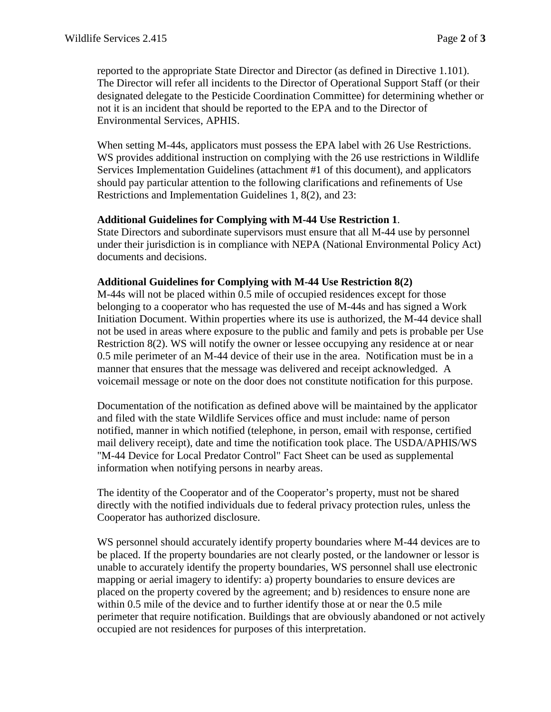reported to the appropriate State Director and Director (as defined in Directive 1.101). The Director will refer all incidents to the Director of Operational Support Staff (or their designated delegate to the Pesticide Coordination Committee) for determining whether or not it is an incident that should be reported to the EPA and to the Director of Environmental Services, APHIS.

When setting M-44s, applicators must possess the EPA label with 26 Use Restrictions. WS provides additional instruction on complying with the 26 use restrictions in Wildlife Services Implementation Guidelines (attachment #1 of this document), and applicators should pay particular attention to the following clarifications and refinements of Use Restrictions and Implementation Guidelines 1, 8(2), and 23:

#### **Additional Guidelines for Complying with M-44 Use Restriction 1**.

State Directors and subordinate supervisors must ensure that all M-44 use by personnel under their jurisdiction is in compliance with NEPA (National Environmental Policy Act) documents and decisions.

#### **Additional Guidelines for Complying with M-44 Use Restriction 8(2)**

M-44s will not be placed within 0.5 mile of occupied residences except for those belonging to a cooperator who has requested the use of M-44s and has signed a Work Initiation Document. Within properties where its use is authorized, the M-44 device shall not be used in areas where exposure to the public and family and pets is probable per Use Restriction 8(2). WS will notify the owner or lessee occupying any residence at or near 0.5 mile perimeter of an M-44 device of their use in the area. Notification must be in a manner that ensures that the message was delivered and receipt acknowledged. A voicemail message or note on the door does not constitute notification for this purpose.

Documentation of the notification as defined above will be maintained by the applicator and filed with the state Wildlife Services office and must include: name of person notified, manner in which notified (telephone, in person, email with response, certified mail delivery receipt), date and time the notification took place. The USDA/APHIS/WS "M-44 Device for Local Predator Control" Fact Sheet can be used as supplemental information when notifying persons in nearby areas.

The identity of the Cooperator and of the Cooperator's property, must not be shared directly with the notified individuals due to federal privacy protection rules, unless the Cooperator has authorized disclosure.

WS personnel should accurately identify property boundaries where M-44 devices are to be placed. If the property boundaries are not clearly posted, or the landowner or lessor is unable to accurately identify the property boundaries, WS personnel shall use electronic mapping or aerial imagery to identify: a) property boundaries to ensure devices are placed on the property covered by the agreement; and b) residences to ensure none are within 0.5 mile of the device and to further identify those at or near the 0.5 mile perimeter that require notification. Buildings that are obviously abandoned or not actively occupied are not residences for purposes of this interpretation.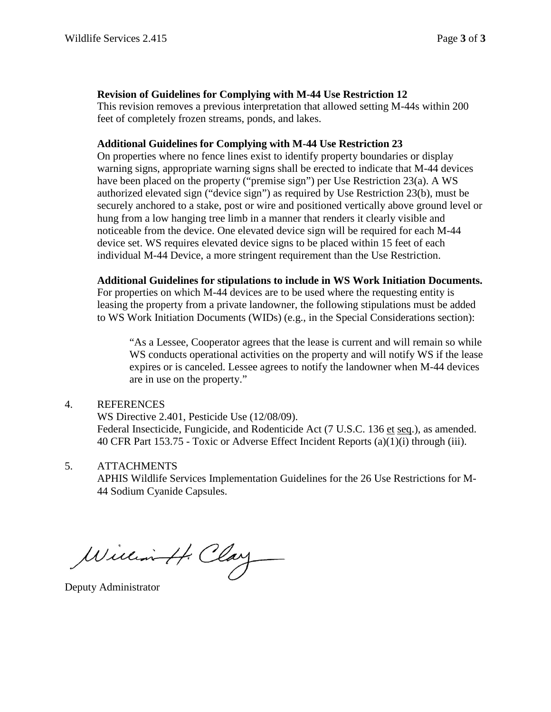### **Revision of Guidelines for Complying with M-44 Use Restriction 12**

This revision removes a previous interpretation that allowed setting M-44s within 200 feet of completely frozen streams, ponds, and lakes.

#### **Additional Guidelines for Complying with M-44 Use Restriction 23**

On properties where no fence lines exist to identify property boundaries or display warning signs, appropriate warning signs shall be erected to indicate that M-44 devices have been placed on the property ("premise sign") per Use Restriction 23(a). A WS authorized elevated sign ("device sign") as required by Use Restriction 23(b), must be securely anchored to a stake, post or wire and positioned vertically above ground level or hung from a low hanging tree limb in a manner that renders it clearly visible and noticeable from the device. One elevated device sign will be required for each M-44 device set. WS requires elevated device signs to be placed within 15 feet of each individual M-44 Device, a more stringent requirement than the Use Restriction.

#### **Additional Guidelines for stipulations to include in WS Work Initiation Documents.**

For properties on which M-44 devices are to be used where the requesting entity is leasing the property from a private landowner, the following stipulations must be added to WS Work Initiation Documents (WIDs) (e.g., in the Special Considerations section):

"As a Lessee, Cooperator agrees that the lease is current and will remain so while WS conducts operational activities on the property and will notify WS if the lease expires or is canceled. Lessee agrees to notify the landowner when M-44 devices are in use on the property."

## 4. REFERENCES

WS Directive 2.401, Pesticide Use (12/08/09).

Federal Insecticide, Fungicide, and Rodenticide Act (7 U.S.C. 136 et seq.), as amended. 40 CFR Part 153.75 - Toxic or Adverse Effect Incident Reports (a)(1)(i) through (iii).

#### 5. ATTACHMENTS

APHIS Wildlife Services Implementation Guidelines for the 26 Use Restrictions for M-44 Sodium Cyanide Capsules.

William H. Clay

Deputy Administrator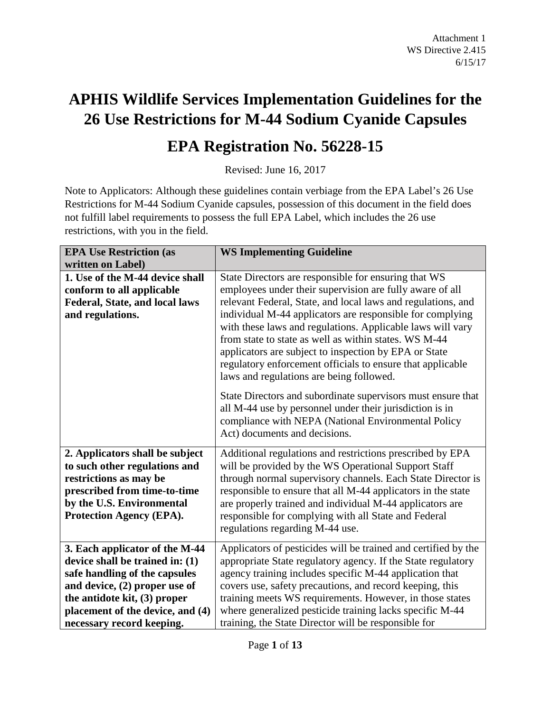# **APHIS Wildlife Services Implementation Guidelines for the 26 Use Restrictions for M-44 Sodium Cyanide Capsules**

# **EPA Registration No. 56228-15**

Revised: June 16, 2017

Note to Applicators: Although these guidelines contain verbiage from the EPA Label's 26 Use Restrictions for M-44 Sodium Cyanide capsules, possession of this document in the field does not fulfill label requirements to possess the full EPA Label, which includes the 26 use restrictions, with you in the field.

| <b>EPA Use Restriction (as</b>   | <b>WS Implementing Guideline</b>                                                                                                                                                                                                                                                                                                                    |
|----------------------------------|-----------------------------------------------------------------------------------------------------------------------------------------------------------------------------------------------------------------------------------------------------------------------------------------------------------------------------------------------------|
| written on Label)                |                                                                                                                                                                                                                                                                                                                                                     |
| 1. Use of the M-44 device shall  | State Directors are responsible for ensuring that WS                                                                                                                                                                                                                                                                                                |
| conform to all applicable        | employees under their supervision are fully aware of all                                                                                                                                                                                                                                                                                            |
| Federal, State, and local laws   | relevant Federal, State, and local laws and regulations, and                                                                                                                                                                                                                                                                                        |
| and regulations.                 | individual M-44 applicators are responsible for complying<br>with these laws and regulations. Applicable laws will vary<br>from state to state as well as within states. WS M-44<br>applicators are subject to inspection by EPA or State<br>regulatory enforcement officials to ensure that applicable<br>laws and regulations are being followed. |
|                                  | State Directors and subordinate supervisors must ensure that<br>all M-44 use by personnel under their jurisdiction is in<br>compliance with NEPA (National Environmental Policy<br>Act) documents and decisions.                                                                                                                                    |
| 2. Applicators shall be subject  | Additional regulations and restrictions prescribed by EPA                                                                                                                                                                                                                                                                                           |
| to such other regulations and    | will be provided by the WS Operational Support Staff                                                                                                                                                                                                                                                                                                |
| restrictions as may be           | through normal supervisory channels. Each State Director is                                                                                                                                                                                                                                                                                         |
| prescribed from time-to-time     | responsible to ensure that all M-44 applicators in the state                                                                                                                                                                                                                                                                                        |
| by the U.S. Environmental        | are properly trained and individual M-44 applicators are                                                                                                                                                                                                                                                                                            |
| Protection Agency (EPA).         | responsible for complying with all State and Federal                                                                                                                                                                                                                                                                                                |
|                                  | regulations regarding M-44 use.                                                                                                                                                                                                                                                                                                                     |
| 3. Each applicator of the M-44   | Applicators of pesticides will be trained and certified by the                                                                                                                                                                                                                                                                                      |
| device shall be trained in: (1)  | appropriate State regulatory agency. If the State regulatory                                                                                                                                                                                                                                                                                        |
| safe handling of the capsules    | agency training includes specific M-44 application that                                                                                                                                                                                                                                                                                             |
| and device, (2) proper use of    | covers use, safety precautions, and record keeping, this                                                                                                                                                                                                                                                                                            |
| the antidote kit, (3) proper     | training meets WS requirements. However, in those states                                                                                                                                                                                                                                                                                            |
| placement of the device, and (4) | where generalized pesticide training lacks specific M-44                                                                                                                                                                                                                                                                                            |
| necessary record keeping.        | training, the State Director will be responsible for                                                                                                                                                                                                                                                                                                |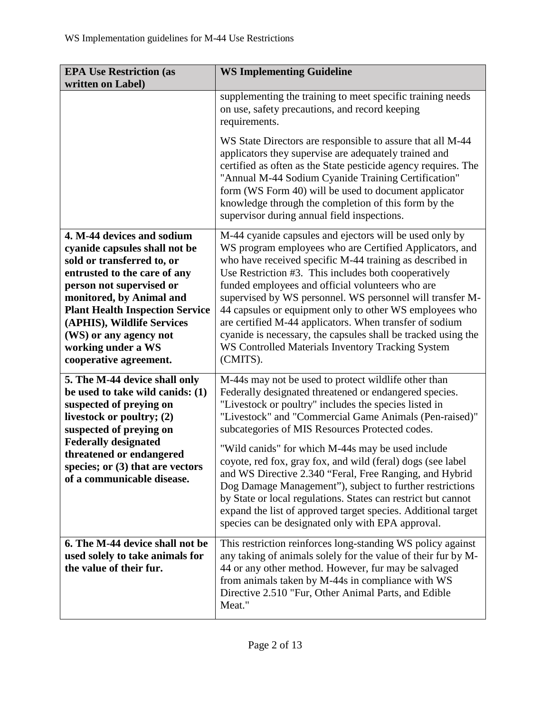| <b>EPA Use Restriction (as</b><br>written on Label)                                                                                                                                                                                                                                                                                 | <b>WS Implementing Guideline</b>                                                                                                                                                                                                                                                                                                                                                                                                                                                                                                                                                                                                                                                                                       |
|-------------------------------------------------------------------------------------------------------------------------------------------------------------------------------------------------------------------------------------------------------------------------------------------------------------------------------------|------------------------------------------------------------------------------------------------------------------------------------------------------------------------------------------------------------------------------------------------------------------------------------------------------------------------------------------------------------------------------------------------------------------------------------------------------------------------------------------------------------------------------------------------------------------------------------------------------------------------------------------------------------------------------------------------------------------------|
|                                                                                                                                                                                                                                                                                                                                     | supplementing the training to meet specific training needs<br>on use, safety precautions, and record keeping<br>requirements.                                                                                                                                                                                                                                                                                                                                                                                                                                                                                                                                                                                          |
|                                                                                                                                                                                                                                                                                                                                     | WS State Directors are responsible to assure that all M-44<br>applicators they supervise are adequately trained and<br>certified as often as the State pesticide agency requires. The<br>"Annual M-44 Sodium Cyanide Training Certification"<br>form (WS Form 40) will be used to document applicator<br>knowledge through the completion of this form by the<br>supervisor during annual field inspections.                                                                                                                                                                                                                                                                                                           |
| 4. M-44 devices and sodium<br>cyanide capsules shall not be<br>sold or transferred to, or<br>entrusted to the care of any<br>person not supervised or<br>monitored, by Animal and<br><b>Plant Health Inspection Service</b><br>(APHIS), Wildlife Services<br>(WS) or any agency not<br>working under a WS<br>cooperative agreement. | M-44 cyanide capsules and ejectors will be used only by<br>WS program employees who are Certified Applicators, and<br>who have received specific M-44 training as described in<br>Use Restriction #3. This includes both cooperatively<br>funded employees and official volunteers who are<br>supervised by WS personnel. WS personnel will transfer M-<br>44 capsules or equipment only to other WS employees who<br>are certified M-44 applicators. When transfer of sodium<br>cyanide is necessary, the capsules shall be tracked using the<br>WS Controlled Materials Inventory Tracking System<br>(CMITS).                                                                                                        |
| 5. The M-44 device shall only<br>be used to take wild canids: (1)<br>suspected of preying on<br>livestock or poultry; (2)<br>suspected of preying on<br><b>Federally designated</b><br>threatened or endangered<br>species; or $(3)$ that are vectors<br>of a communicable disease.                                                 | M-44s may not be used to protect wildlife other than<br>Federally designated threatened or endangered species.<br>"Livestock or poultry" includes the species listed in<br>"Livestock" and "Commercial Game Animals (Pen-raised)"<br>subcategories of MIS Resources Protected codes.<br>"Wild canids" for which M-44s may be used include<br>coyote, red fox, gray fox, and wild (feral) dogs (see label<br>and WS Directive 2.340 "Feral, Free Ranging, and Hybrid<br>Dog Damage Management"), subject to further restrictions<br>by State or local regulations. States can restrict but cannot<br>expand the list of approved target species. Additional target<br>species can be designated only with EPA approval. |
| 6. The M-44 device shall not be<br>used solely to take animals for<br>the value of their fur.                                                                                                                                                                                                                                       | This restriction reinforces long-standing WS policy against<br>any taking of animals solely for the value of their fur by M-<br>44 or any other method. However, fur may be salvaged<br>from animals taken by M-44s in compliance with WS<br>Directive 2.510 "Fur, Other Animal Parts, and Edible<br>Meat."                                                                                                                                                                                                                                                                                                                                                                                                            |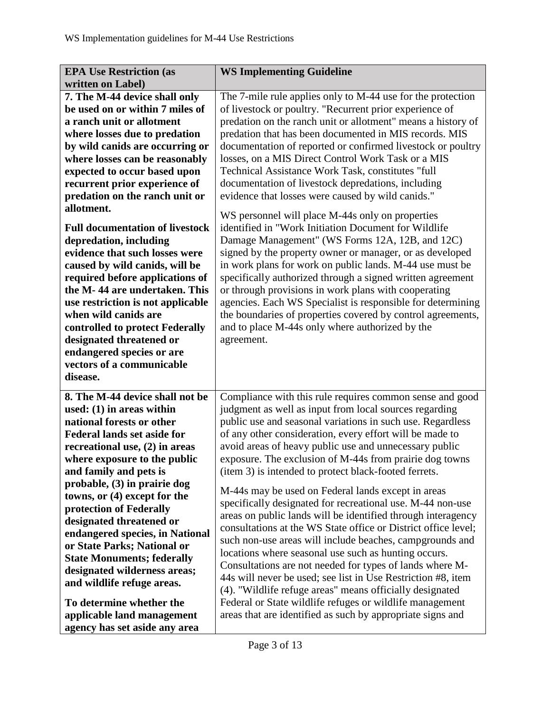| <b>EPA Use Restriction (as</b>                                   | <b>WS Implementing Guideline</b>                                                                                       |
|------------------------------------------------------------------|------------------------------------------------------------------------------------------------------------------------|
| written on Label)                                                |                                                                                                                        |
| 7. The M-44 device shall only                                    | The 7-mile rule applies only to M-44 use for the protection                                                            |
| be used on or within 7 miles of                                  | of livestock or poultry. "Recurrent prior experience of                                                                |
| a ranch unit or allotment                                        | predation on the ranch unit or allotment" means a history of                                                           |
| where losses due to predation                                    | predation that has been documented in MIS records. MIS                                                                 |
| by wild canids are occurring or                                  | documentation of reported or confirmed livestock or poultry                                                            |
| where losses can be reasonably                                   | losses, on a MIS Direct Control Work Task or a MIS                                                                     |
| expected to occur based upon                                     | Technical Assistance Work Task, constitutes "full                                                                      |
| recurrent prior experience of                                    | documentation of livestock depredations, including                                                                     |
| predation on the ranch unit or                                   | evidence that losses were caused by wild canids."                                                                      |
| allotment.                                                       |                                                                                                                        |
|                                                                  | WS personnel will place M-44s only on properties                                                                       |
| <b>Full documentation of livestock</b>                           | identified in "Work Initiation Document for Wildlife                                                                   |
| depredation, including<br>evidence that such losses were         | Damage Management" (WS Forms 12A, 12B, and 12C)                                                                        |
|                                                                  | signed by the property owner or manager, or as developed                                                               |
| caused by wild canids, will be                                   | in work plans for work on public lands. M-44 use must be<br>specifically authorized through a signed written agreement |
| required before applications of<br>the M-44 are undertaken. This | or through provisions in work plans with cooperating                                                                   |
| use restriction is not applicable                                | agencies. Each WS Specialist is responsible for determining                                                            |
| when wild canids are                                             | the boundaries of properties covered by control agreements,                                                            |
| controlled to protect Federally                                  | and to place M-44s only where authorized by the                                                                        |
| designated threatened or                                         | agreement.                                                                                                             |
| endangered species or are                                        |                                                                                                                        |
| vectors of a communicable                                        |                                                                                                                        |
| disease.                                                         |                                                                                                                        |
|                                                                  |                                                                                                                        |
| 8. The M-44 device shall not be                                  | Compliance with this rule requires common sense and good                                                               |
| used: $(1)$ in areas within                                      | judgment as well as input from local sources regarding                                                                 |
| national forests or other                                        | public use and seasonal variations in such use. Regardless                                                             |
| <b>Federal lands set aside for</b>                               | of any other consideration, every effort will be made to                                                               |
| recreational use, $(2)$ in areas                                 | avoid areas of heavy public use and unnecessary public                                                                 |
| where exposure to the public                                     | exposure. The exclusion of M-44s from prairie dog towns                                                                |
| and family and pets is                                           | (item 3) is intended to protect black-footed ferrets.                                                                  |
| probable, (3) in prairie dog                                     | M-44s may be used on Federal lands except in areas                                                                     |
| towns, or (4) except for the                                     | specifically designated for recreational use. M-44 non-use                                                             |
| protection of Federally                                          | areas on public lands will be identified through interagency                                                           |
| designated threatened or                                         | consultations at the WS State office or District office level;                                                         |
| endangered species, in National                                  | such non-use areas will include beaches, campgrounds and                                                               |
| or State Parks; National or                                      | locations where seasonal use such as hunting occurs.                                                                   |
| <b>State Monuments; federally</b>                                | Consultations are not needed for types of lands where M-                                                               |
| designated wilderness areas;                                     | 44s will never be used; see list in Use Restriction #8, item                                                           |
| and wildlife refuge areas.                                       | (4). "Wildlife refuge areas" means officially designated                                                               |
| To determine whether the                                         | Federal or State wildlife refuges or wildlife management                                                               |
| applicable land management                                       | areas that are identified as such by appropriate signs and                                                             |
| agency has set aside any area                                    |                                                                                                                        |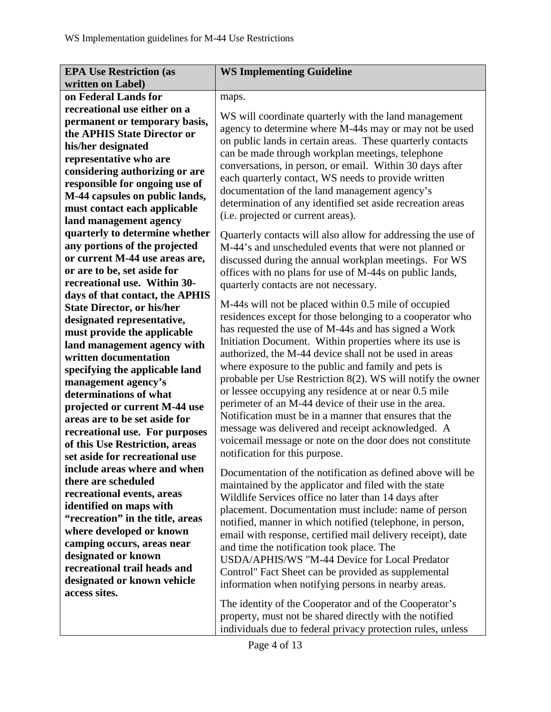| <b>EPA Use Restriction (as</b>    | <b>WS Implementing Guideline</b>                             |
|-----------------------------------|--------------------------------------------------------------|
| written on Label)                 |                                                              |
| on Federal Lands for              | maps.                                                        |
| recreational use either on a      |                                                              |
| permanent or temporary basis,     | WS will coordinate quarterly with the land management        |
| the APHIS State Director or       | agency to determine where M-44s may or may not be used       |
| his/her designated                | on public lands in certain areas. These quarterly contacts   |
| representative who are            | can be made through workplan meetings, telephone             |
| considering authorizing or are    | conversations, in person, or email. Within 30 days after     |
| responsible for ongoing use of    | each quarterly contact, WS needs to provide written          |
| M-44 capsules on public lands,    | documentation of the land management agency's                |
| must contact each applicable      | determination of any identified set aside recreation areas   |
| land management agency            | (i.e. projected or current areas).                           |
| quarterly to determine whether    | Quarterly contacts will also allow for addressing the use of |
| any portions of the projected     | M-44's and unscheduled events that were not planned or       |
| or current M-44 use areas are,    | discussed during the annual workplan meetings. For WS        |
| or are to be, set aside for       | offices with no plans for use of M-44s on public lands,      |
| recreational use. Within 30-      | quarterly contacts are not necessary.                        |
| days of that contact, the APHIS   |                                                              |
| <b>State Director, or his/her</b> | M-44s will not be placed within 0.5 mile of occupied         |
| designated representative,        | residences except for those belonging to a cooperator who    |
| must provide the applicable       | has requested the use of M-44s and has signed a Work         |
| land management agency with       | Initiation Document. Within properties where its use is      |
| written documentation             | authorized, the M-44 device shall not be used in areas       |
| specifying the applicable land    | where exposure to the public and family and pets is          |
| management agency's               | probable per Use Restriction 8(2). WS will notify the owner  |
| determinations of what            | or lessee occupying any residence at or near 0.5 mile        |
| projected or current M-44 use     | perimeter of an M-44 device of their use in the area.        |
| areas are to be set aside for     | Notification must be in a manner that ensures that the       |
| recreational use. For purposes    | message was delivered and receipt acknowledged. A            |
| of this Use Restriction, areas    | voicemail message or note on the door does not constitute    |
| set aside for recreational use    | notification for this purpose.                               |
| include areas where and when      | Documentation of the notification as defined above will be   |
| there are scheduled               | maintained by the applicator and filed with the state        |
| recreational events, areas        | Wildlife Services office no later than 14 days after         |
| identified on maps with           | placement. Documentation must include: name of person        |
| "recreation" in the title, areas  | notified, manner in which notified (telephone, in person,    |
| where developed or known          | email with response, certified mail delivery receipt), date  |
| camping occurs, areas near        | and time the notification took place. The                    |
| designated or known               | USDA/APHIS/WS "M-44 Device for Local Predator                |
| recreational trail heads and      | Control" Fact Sheet can be provided as supplemental          |
| designated or known vehicle       | information when notifying persons in nearby areas.          |
| access sites.                     |                                                              |
|                                   | The identity of the Cooperator and of the Cooperator's       |
|                                   | property, must not be shared directly with the notified      |
|                                   | individuals due to federal privacy protection rules, unless  |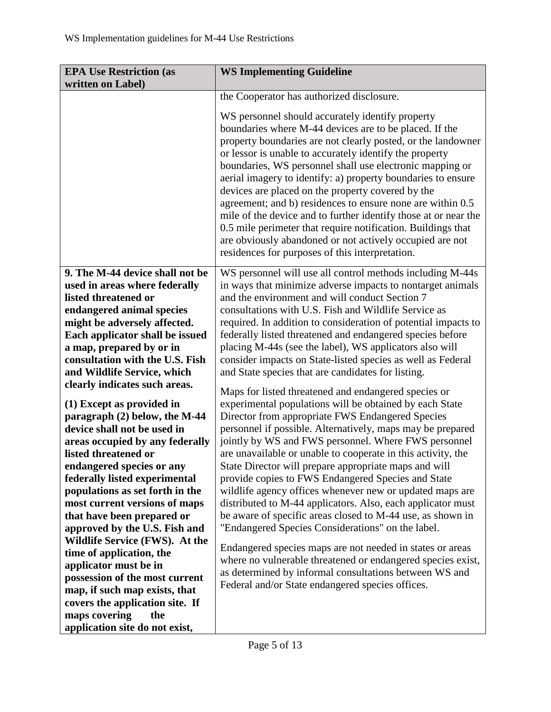| <b>EPA Use Restriction (as</b><br>written on Label)        | <b>WS Implementing Guideline</b>                                                                                                                                                                                                                                                                                                                                                                                                                                                                                                                                                                                                                                                                                                       |
|------------------------------------------------------------|----------------------------------------------------------------------------------------------------------------------------------------------------------------------------------------------------------------------------------------------------------------------------------------------------------------------------------------------------------------------------------------------------------------------------------------------------------------------------------------------------------------------------------------------------------------------------------------------------------------------------------------------------------------------------------------------------------------------------------------|
|                                                            | the Cooperator has authorized disclosure.                                                                                                                                                                                                                                                                                                                                                                                                                                                                                                                                                                                                                                                                                              |
|                                                            | WS personnel should accurately identify property<br>boundaries where M-44 devices are to be placed. If the<br>property boundaries are not clearly posted, or the landowner<br>or lessor is unable to accurately identify the property<br>boundaries, WS personnel shall use electronic mapping or<br>aerial imagery to identify: a) property boundaries to ensure<br>devices are placed on the property covered by the<br>agreement; and b) residences to ensure none are within 0.5<br>mile of the device and to further identify those at or near the<br>0.5 mile perimeter that require notification. Buildings that<br>are obviously abandoned or not actively occupied are not<br>residences for purposes of this interpretation. |
| 9. The M-44 device shall not be                            | WS personnel will use all control methods including M-44s                                                                                                                                                                                                                                                                                                                                                                                                                                                                                                                                                                                                                                                                              |
| used in areas where federally                              | in ways that minimize adverse impacts to nontarget animals                                                                                                                                                                                                                                                                                                                                                                                                                                                                                                                                                                                                                                                                             |
| listed threatened or                                       | and the environment and will conduct Section 7<br>consultations with U.S. Fish and Wildlife Service as                                                                                                                                                                                                                                                                                                                                                                                                                                                                                                                                                                                                                                 |
| endangered animal species<br>might be adversely affected.  | required. In addition to consideration of potential impacts to                                                                                                                                                                                                                                                                                                                                                                                                                                                                                                                                                                                                                                                                         |
| Each applicator shall be issued                            | federally listed threatened and endangered species before                                                                                                                                                                                                                                                                                                                                                                                                                                                                                                                                                                                                                                                                              |
| a map, prepared by or in                                   | placing M-44s (see the label), WS applicators also will                                                                                                                                                                                                                                                                                                                                                                                                                                                                                                                                                                                                                                                                                |
| consultation with the U.S. Fish                            | consider impacts on State-listed species as well as Federal                                                                                                                                                                                                                                                                                                                                                                                                                                                                                                                                                                                                                                                                            |
| and Wildlife Service, which                                | and State species that are candidates for listing.                                                                                                                                                                                                                                                                                                                                                                                                                                                                                                                                                                                                                                                                                     |
| clearly indicates such areas.                              |                                                                                                                                                                                                                                                                                                                                                                                                                                                                                                                                                                                                                                                                                                                                        |
|                                                            | Maps for listed threatened and endangered species or                                                                                                                                                                                                                                                                                                                                                                                                                                                                                                                                                                                                                                                                                   |
| (1) Except as provided in<br>paragraph (2) below, the M-44 | experimental populations will be obtained by each State<br>Director from appropriate FWS Endangered Species                                                                                                                                                                                                                                                                                                                                                                                                                                                                                                                                                                                                                            |
| device shall not be used in                                | personnel if possible. Alternatively, maps may be prepared                                                                                                                                                                                                                                                                                                                                                                                                                                                                                                                                                                                                                                                                             |
| areas occupied by any federally                            | jointly by WS and FWS personnel. Where FWS personnel                                                                                                                                                                                                                                                                                                                                                                                                                                                                                                                                                                                                                                                                                   |
| listed threatened or                                       | are unavailable or unable to cooperate in this activity, the                                                                                                                                                                                                                                                                                                                                                                                                                                                                                                                                                                                                                                                                           |
| endangered species or any                                  | State Director will prepare appropriate maps and will                                                                                                                                                                                                                                                                                                                                                                                                                                                                                                                                                                                                                                                                                  |
| federally listed experimental                              | provide copies to FWS Endangered Species and State                                                                                                                                                                                                                                                                                                                                                                                                                                                                                                                                                                                                                                                                                     |
| populations as set forth in the                            | wildlife agency offices whenever new or updated maps are                                                                                                                                                                                                                                                                                                                                                                                                                                                                                                                                                                                                                                                                               |
| most current versions of maps                              | distributed to M-44 applicators. Also, each applicator must                                                                                                                                                                                                                                                                                                                                                                                                                                                                                                                                                                                                                                                                            |
| that have been prepared or                                 | be aware of specific areas closed to M-44 use, as shown in                                                                                                                                                                                                                                                                                                                                                                                                                                                                                                                                                                                                                                                                             |
| approved by the U.S. Fish and                              | "Endangered Species Considerations" on the label.                                                                                                                                                                                                                                                                                                                                                                                                                                                                                                                                                                                                                                                                                      |
| Wildlife Service (FWS). At the                             | Endangered species maps are not needed in states or areas                                                                                                                                                                                                                                                                                                                                                                                                                                                                                                                                                                                                                                                                              |
| time of application, the                                   | where no vulnerable threatened or endangered species exist,                                                                                                                                                                                                                                                                                                                                                                                                                                                                                                                                                                                                                                                                            |
| applicator must be in                                      | as determined by informal consultations between WS and                                                                                                                                                                                                                                                                                                                                                                                                                                                                                                                                                                                                                                                                                 |
| possession of the most current                             | Federal and/or State endangered species offices.                                                                                                                                                                                                                                                                                                                                                                                                                                                                                                                                                                                                                                                                                       |
| map, if such map exists, that                              |                                                                                                                                                                                                                                                                                                                                                                                                                                                                                                                                                                                                                                                                                                                                        |
| covers the application site. If                            |                                                                                                                                                                                                                                                                                                                                                                                                                                                                                                                                                                                                                                                                                                                                        |
| maps covering<br>the                                       |                                                                                                                                                                                                                                                                                                                                                                                                                                                                                                                                                                                                                                                                                                                                        |
| application site do not exist,                             |                                                                                                                                                                                                                                                                                                                                                                                                                                                                                                                                                                                                                                                                                                                                        |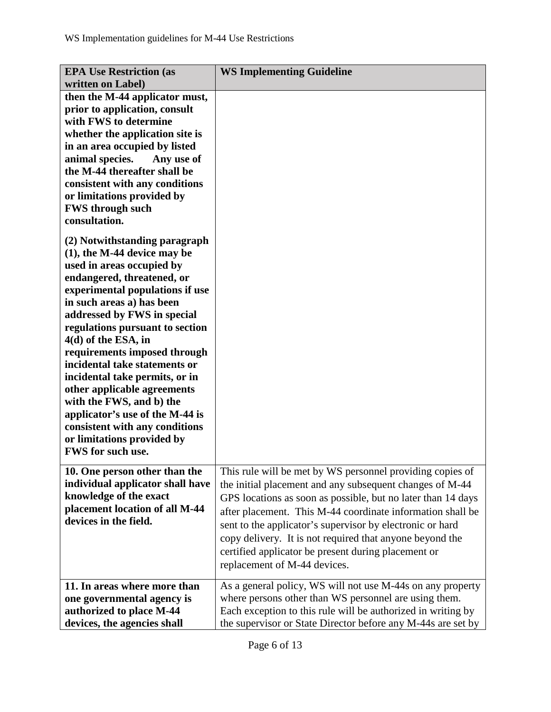| <b>EPA Use Restriction (as</b><br>written on Label)                                                                                                                                                                                                                                                                                                                                                                                                                                                                                                                       | <b>WS Implementing Guideline</b>                                                                                                                                                                                                                                                                                                                                                                                                                                    |
|---------------------------------------------------------------------------------------------------------------------------------------------------------------------------------------------------------------------------------------------------------------------------------------------------------------------------------------------------------------------------------------------------------------------------------------------------------------------------------------------------------------------------------------------------------------------------|---------------------------------------------------------------------------------------------------------------------------------------------------------------------------------------------------------------------------------------------------------------------------------------------------------------------------------------------------------------------------------------------------------------------------------------------------------------------|
| then the M-44 applicator must,<br>prior to application, consult<br>with FWS to determine<br>whether the application site is<br>in an area occupied by listed<br>animal species.<br>Any use of<br>the M-44 thereafter shall be<br>consistent with any conditions<br>or limitations provided by<br><b>FWS through such</b><br>consultation.                                                                                                                                                                                                                                 |                                                                                                                                                                                                                                                                                                                                                                                                                                                                     |
| (2) Notwithstanding paragraph<br>$(1)$ , the M-44 device may be<br>used in areas occupied by<br>endangered, threatened, or<br>experimental populations if use<br>in such areas a) has been<br>addressed by FWS in special<br>regulations pursuant to section<br>4(d) of the ESA, in<br>requirements imposed through<br>incidental take statements or<br>incidental take permits, or in<br>other applicable agreements<br>with the FWS, and b) the<br>applicator's use of the M-44 is<br>consistent with any conditions<br>or limitations provided by<br>FWS for such use. |                                                                                                                                                                                                                                                                                                                                                                                                                                                                     |
| 10. One person other than the<br>individual applicator shall have<br>knowledge of the exact<br>placement location of all M-44<br>devices in the field.                                                                                                                                                                                                                                                                                                                                                                                                                    | This rule will be met by WS personnel providing copies of<br>the initial placement and any subsequent changes of M-44<br>GPS locations as soon as possible, but no later than 14 days<br>after placement. This M-44 coordinate information shall be<br>sent to the applicator's supervisor by electronic or hard<br>copy delivery. It is not required that anyone beyond the<br>certified applicator be present during placement or<br>replacement of M-44 devices. |
| 11. In areas where more than<br>one governmental agency is<br>authorized to place M-44<br>devices, the agencies shall                                                                                                                                                                                                                                                                                                                                                                                                                                                     | As a general policy, WS will not use M-44s on any property<br>where persons other than WS personnel are using them.<br>Each exception to this rule will be authorized in writing by<br>the supervisor or State Director before any M-44s are set by                                                                                                                                                                                                                 |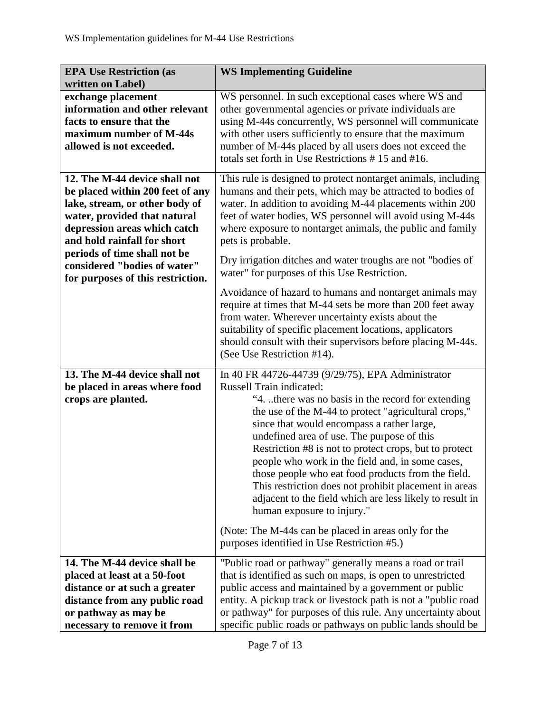| <b>EPA Use Restriction (as</b><br>written on Label)                                                                                                                                                                                                                | <b>WS Implementing Guideline</b>                                                                                                                                                                                                                                                                                                                                                                                                                                                                                                                                                                                                                                              |
|--------------------------------------------------------------------------------------------------------------------------------------------------------------------------------------------------------------------------------------------------------------------|-------------------------------------------------------------------------------------------------------------------------------------------------------------------------------------------------------------------------------------------------------------------------------------------------------------------------------------------------------------------------------------------------------------------------------------------------------------------------------------------------------------------------------------------------------------------------------------------------------------------------------------------------------------------------------|
| exchange placement<br>information and other relevant<br>facts to ensure that the<br>maximum number of M-44s<br>allowed is not exceeded.                                                                                                                            | WS personnel. In such exceptional cases where WS and<br>other governmental agencies or private individuals are<br>using M-44s concurrently, WS personnel will communicate<br>with other users sufficiently to ensure that the maximum<br>number of M-44s placed by all users does not exceed the<br>totals set forth in Use Restrictions #15 and #16.                                                                                                                                                                                                                                                                                                                         |
| 12. The M-44 device shall not<br>be placed within 200 feet of any<br>lake, stream, or other body of<br>water, provided that natural<br>depression areas which catch<br>and hold rainfall for short<br>periods of time shall not be<br>considered "bodies of water" | This rule is designed to protect nontarget animals, including<br>humans and their pets, which may be attracted to bodies of<br>water. In addition to avoiding M-44 placements within 200<br>feet of water bodies, WS personnel will avoid using M-44s<br>where exposure to nontarget animals, the public and family<br>pets is probable.<br>Dry irrigation ditches and water troughs are not "bodies of<br>water" for purposes of this Use Restriction.                                                                                                                                                                                                                       |
| for purposes of this restriction.                                                                                                                                                                                                                                  | Avoidance of hazard to humans and nontarget animals may<br>require at times that M-44 sets be more than 200 feet away<br>from water. Wherever uncertainty exists about the<br>suitability of specific placement locations, applicators<br>should consult with their supervisors before placing M-44s.<br>(See Use Restriction #14).                                                                                                                                                                                                                                                                                                                                           |
| 13. The M-44 device shall not<br>be placed in areas where food<br>crops are planted.                                                                                                                                                                               | In 40 FR 44726-44739 (9/29/75), EPA Administrator<br><b>Russell Train indicated:</b><br>"4. there was no basis in the record for extending<br>the use of the M-44 to protect "agricultural crops,"<br>since that would encompass a rather large,<br>undefined area of use. The purpose of this<br>Restriction #8 is not to protect crops, but to protect<br>people who work in the field and, in some cases,<br>those people who eat food products from the field.<br>This restriction does not prohibit placement in areas<br>adjacent to the field which are less likely to result in<br>human exposure to injury."<br>(Note: The M-44s can be placed in areas only for the |
| 14. The M-44 device shall be                                                                                                                                                                                                                                       | purposes identified in Use Restriction #5.)<br>"Public road or pathway" generally means a road or trail                                                                                                                                                                                                                                                                                                                                                                                                                                                                                                                                                                       |
| placed at least at a 50-foot<br>distance or at such a greater<br>distance from any public road<br>or pathway as may be<br>necessary to remove it from                                                                                                              | that is identified as such on maps, is open to unrestricted<br>public access and maintained by a government or public<br>entity. A pickup track or livestock path is not a "public road<br>or pathway" for purposes of this rule. Any uncertainty about<br>specific public roads or pathways on public lands should be                                                                                                                                                                                                                                                                                                                                                        |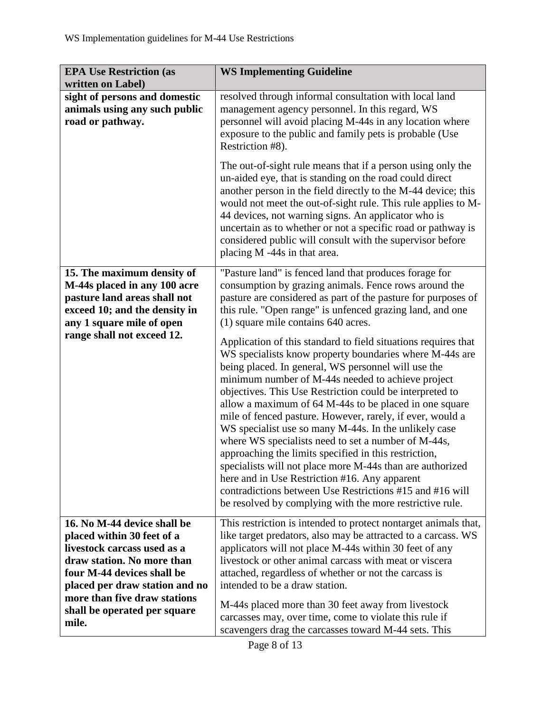| <b>EPA Use Restriction (as</b><br>written on Label)                                                                                                                                                                                                    | <b>WS Implementing Guideline</b>                                                                                                                                                                                                                                                                                                                                                                                                                                                                                                                                                                                                                                                                                                                                                                                                                                                                                                                                                                                                                                                                                                |
|--------------------------------------------------------------------------------------------------------------------------------------------------------------------------------------------------------------------------------------------------------|---------------------------------------------------------------------------------------------------------------------------------------------------------------------------------------------------------------------------------------------------------------------------------------------------------------------------------------------------------------------------------------------------------------------------------------------------------------------------------------------------------------------------------------------------------------------------------------------------------------------------------------------------------------------------------------------------------------------------------------------------------------------------------------------------------------------------------------------------------------------------------------------------------------------------------------------------------------------------------------------------------------------------------------------------------------------------------------------------------------------------------|
| sight of persons and domestic<br>animals using any such public<br>road or pathway.                                                                                                                                                                     | resolved through informal consultation with local land<br>management agency personnel. In this regard, WS<br>personnel will avoid placing M-44s in any location where<br>exposure to the public and family pets is probable (Use<br>Restriction #8).                                                                                                                                                                                                                                                                                                                                                                                                                                                                                                                                                                                                                                                                                                                                                                                                                                                                            |
|                                                                                                                                                                                                                                                        | The out-of-sight rule means that if a person using only the<br>un-aided eye, that is standing on the road could direct<br>another person in the field directly to the M-44 device; this<br>would not meet the out-of-sight rule. This rule applies to M-<br>44 devices, not warning signs. An applicator who is<br>uncertain as to whether or not a specific road or pathway is<br>considered public will consult with the supervisor before<br>placing M -44s in that area.                                                                                                                                                                                                                                                                                                                                                                                                                                                                                                                                                                                                                                                    |
| 15. The maximum density of<br>M-44s placed in any 100 acre<br>pasture land areas shall not<br>exceed 10; and the density in<br>any 1 square mile of open<br>range shall not exceed 12.                                                                 | "Pasture land" is fenced land that produces forage for<br>consumption by grazing animals. Fence rows around the<br>pasture are considered as part of the pasture for purposes of<br>this rule. "Open range" is unfenced grazing land, and one<br>(1) square mile contains 640 acres.<br>Application of this standard to field situations requires that<br>WS specialists know property boundaries where M-44s are<br>being placed. In general, WS personnel will use the<br>minimum number of M-44s needed to achieve project<br>objectives. This Use Restriction could be interpreted to<br>allow a maximum of 64 M-44s to be placed in one square<br>mile of fenced pasture. However, rarely, if ever, would a<br>WS specialist use so many M-44s. In the unlikely case<br>where WS specialists need to set a number of M-44s,<br>approaching the limits specified in this restriction,<br>specialists will not place more M-44s than are authorized<br>here and in Use Restriction #16. Any apparent<br>contradictions between Use Restrictions #15 and #16 will<br>be resolved by complying with the more restrictive rule. |
| 16. No M-44 device shall be<br>placed within 30 feet of a<br>livestock carcass used as a<br>draw station. No more than<br>four M-44 devices shall be<br>placed per draw station and no<br>more than five draw stations<br>shall be operated per square | This restriction is intended to protect nontarget animals that,<br>like target predators, also may be attracted to a carcass. WS<br>applicators will not place M-44s within 30 feet of any<br>livestock or other animal carcass with meat or viscera<br>attached, regardless of whether or not the carcass is<br>intended to be a draw station.<br>M-44s placed more than 30 feet away from livestock<br>carcasses may, over time, come to violate this rule if                                                                                                                                                                                                                                                                                                                                                                                                                                                                                                                                                                                                                                                                 |
| mile.                                                                                                                                                                                                                                                  | scavengers drag the carcasses toward M-44 sets. This                                                                                                                                                                                                                                                                                                                                                                                                                                                                                                                                                                                                                                                                                                                                                                                                                                                                                                                                                                                                                                                                            |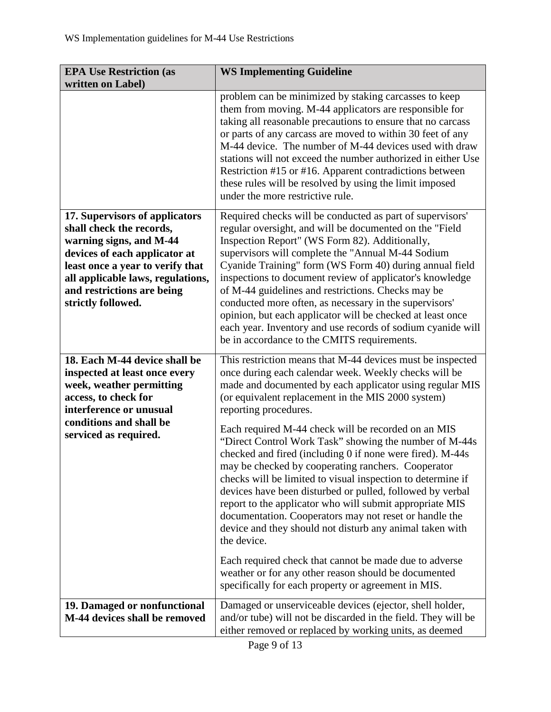| <b>EPA Use Restriction (as</b><br>written on Label)                                                                                                                                                                                                 | <b>WS Implementing Guideline</b>                                                                                                                                                                                                                                                                                                                                                                                                                                                                                                                                                                                                                                                                                                                                                                                                                                                                                                                                                                         |
|-----------------------------------------------------------------------------------------------------------------------------------------------------------------------------------------------------------------------------------------------------|----------------------------------------------------------------------------------------------------------------------------------------------------------------------------------------------------------------------------------------------------------------------------------------------------------------------------------------------------------------------------------------------------------------------------------------------------------------------------------------------------------------------------------------------------------------------------------------------------------------------------------------------------------------------------------------------------------------------------------------------------------------------------------------------------------------------------------------------------------------------------------------------------------------------------------------------------------------------------------------------------------|
|                                                                                                                                                                                                                                                     | problem can be minimized by staking carcasses to keep<br>them from moving. M-44 applicators are responsible for<br>taking all reasonable precautions to ensure that no carcass<br>or parts of any carcass are moved to within 30 feet of any<br>M-44 device. The number of M-44 devices used with draw<br>stations will not exceed the number authorized in either Use<br>Restriction #15 or #16. Apparent contradictions between<br>these rules will be resolved by using the limit imposed<br>under the more restrictive rule.                                                                                                                                                                                                                                                                                                                                                                                                                                                                         |
| 17. Supervisors of applicators<br>shall check the records,<br>warning signs, and M-44<br>devices of each applicator at<br>least once a year to verify that<br>all applicable laws, regulations,<br>and restrictions are being<br>strictly followed. | Required checks will be conducted as part of supervisors'<br>regular oversight, and will be documented on the "Field<br>Inspection Report" (WS Form 82). Additionally,<br>supervisors will complete the "Annual M-44 Sodium<br>Cyanide Training" form (WS Form 40) during annual field<br>inspections to document review of applicator's knowledge<br>of M-44 guidelines and restrictions. Checks may be<br>conducted more often, as necessary in the supervisors'<br>opinion, but each applicator will be checked at least once<br>each year. Inventory and use records of sodium cyanide will<br>be in accordance to the CMITS requirements.                                                                                                                                                                                                                                                                                                                                                           |
| 18. Each M-44 device shall be<br>inspected at least once every<br>week, weather permitting<br>access, to check for<br>interference or unusual<br>conditions and shall be<br>serviced as required.                                                   | This restriction means that M-44 devices must be inspected<br>once during each calendar week. Weekly checks will be<br>made and documented by each applicator using regular MIS<br>(or equivalent replacement in the MIS 2000 system)<br>reporting procedures.<br>Each required M-44 check will be recorded on an MIS<br>"Direct Control Work Task" showing the number of M-44s<br>checked and fired (including 0 if none were fired). M-44s<br>may be checked by cooperating ranchers. Cooperator<br>checks will be limited to visual inspection to determine if<br>devices have been disturbed or pulled, followed by verbal<br>report to the applicator who will submit appropriate MIS<br>documentation. Cooperators may not reset or handle the<br>device and they should not disturb any animal taken with<br>the device.<br>Each required check that cannot be made due to adverse<br>weather or for any other reason should be documented<br>specifically for each property or agreement in MIS. |
| 19. Damaged or nonfunctional<br>M-44 devices shall be removed                                                                                                                                                                                       | Damaged or unserviceable devices (ejector, shell holder,<br>and/or tube) will not be discarded in the field. They will be<br>either removed or replaced by working units, as deemed                                                                                                                                                                                                                                                                                                                                                                                                                                                                                                                                                                                                                                                                                                                                                                                                                      |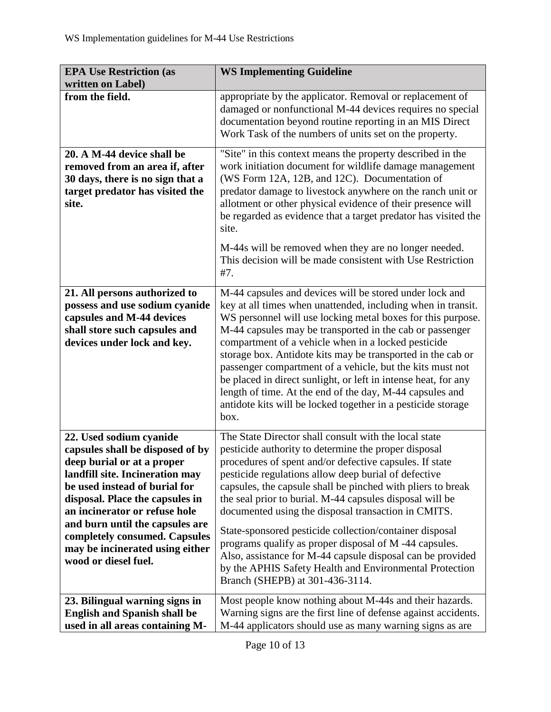| <b>EPA Use Restriction (as</b><br>written on Label)                                                                                                                                                                                                                                                                                                              | <b>WS Implementing Guideline</b>                                                                                                                                                                                                                                                                                                                                                                                                                                                                                                                                                                                                                                                                   |
|------------------------------------------------------------------------------------------------------------------------------------------------------------------------------------------------------------------------------------------------------------------------------------------------------------------------------------------------------------------|----------------------------------------------------------------------------------------------------------------------------------------------------------------------------------------------------------------------------------------------------------------------------------------------------------------------------------------------------------------------------------------------------------------------------------------------------------------------------------------------------------------------------------------------------------------------------------------------------------------------------------------------------------------------------------------------------|
| from the field.                                                                                                                                                                                                                                                                                                                                                  | appropriate by the applicator. Removal or replacement of<br>damaged or nonfunctional M-44 devices requires no special<br>documentation beyond routine reporting in an MIS Direct<br>Work Task of the numbers of units set on the property.                                                                                                                                                                                                                                                                                                                                                                                                                                                         |
| 20. A M-44 device shall be<br>removed from an area if, after<br>30 days, there is no sign that a<br>target predator has visited the<br>site.                                                                                                                                                                                                                     | "Site" in this context means the property described in the<br>work initiation document for wildlife damage management<br>(WS Form 12A, 12B, and 12C). Documentation of<br>predator damage to livestock anywhere on the ranch unit or<br>allotment or other physical evidence of their presence will<br>be regarded as evidence that a target predator has visited the<br>site.                                                                                                                                                                                                                                                                                                                     |
|                                                                                                                                                                                                                                                                                                                                                                  | M-44s will be removed when they are no longer needed.<br>This decision will be made consistent with Use Restriction<br>#7.                                                                                                                                                                                                                                                                                                                                                                                                                                                                                                                                                                         |
| 21. All persons authorized to<br>possess and use sodium cyanide<br>capsules and M-44 devices<br>shall store such capsules and<br>devices under lock and key.                                                                                                                                                                                                     | M-44 capsules and devices will be stored under lock and<br>key at all times when unattended, including when in transit.<br>WS personnel will use locking metal boxes for this purpose.<br>M-44 capsules may be transported in the cab or passenger<br>compartment of a vehicle when in a locked pesticide<br>storage box. Antidote kits may be transported in the cab or<br>passenger compartment of a vehicle, but the kits must not<br>be placed in direct sunlight, or left in intense heat, for any<br>length of time. At the end of the day, M-44 capsules and<br>antidote kits will be locked together in a pesticide storage<br>box.                                                        |
| 22. Used sodium cyanide<br>capsules shall be disposed of by<br>deep burial or at a proper<br>landfill site. Incineration may<br>be used instead of burial for<br>disposal. Place the capsules in<br>an incinerator or refuse hole<br>and burn until the capsules are<br>completely consumed. Capsules<br>may be incinerated using either<br>wood or diesel fuel. | The State Director shall consult with the local state<br>pesticide authority to determine the proper disposal<br>procedures of spent and/or defective capsules. If state<br>pesticide regulations allow deep burial of defective<br>capsules, the capsule shall be pinched with pliers to break<br>the seal prior to burial. M-44 capsules disposal will be<br>documented using the disposal transaction in CMITS.<br>State-sponsored pesticide collection/container disposal<br>programs qualify as proper disposal of M-44 capsules.<br>Also, assistance for M-44 capsule disposal can be provided<br>by the APHIS Safety Health and Environmental Protection<br>Branch (SHEPB) at 301-436-3114. |
| 23. Bilingual warning signs in<br><b>English and Spanish shall be</b><br>used in all areas containing M-                                                                                                                                                                                                                                                         | Most people know nothing about M-44s and their hazards.<br>Warning signs are the first line of defense against accidents.<br>M-44 applicators should use as many warning signs as are                                                                                                                                                                                                                                                                                                                                                                                                                                                                                                              |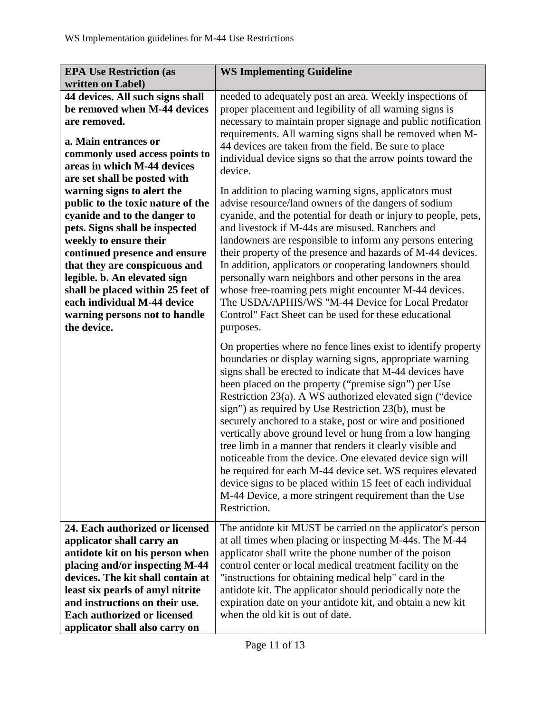| <b>EPA Use Restriction (as</b><br>written on Label)                                                                                                                                                                                                                                                                                                                               | <b>WS Implementing Guideline</b>                                                                                                                                                                                                                                                                                                                                                                                                                                                                                                                                                                                                                                                                                                                                                                                               |
|-----------------------------------------------------------------------------------------------------------------------------------------------------------------------------------------------------------------------------------------------------------------------------------------------------------------------------------------------------------------------------------|--------------------------------------------------------------------------------------------------------------------------------------------------------------------------------------------------------------------------------------------------------------------------------------------------------------------------------------------------------------------------------------------------------------------------------------------------------------------------------------------------------------------------------------------------------------------------------------------------------------------------------------------------------------------------------------------------------------------------------------------------------------------------------------------------------------------------------|
| 44 devices. All such signs shall<br>be removed when M-44 devices<br>are removed.<br>a. Main entrances or<br>commonly used access points to<br>areas in which M-44 devices<br>are set shall be posted with                                                                                                                                                                         | needed to adequately post an area. Weekly inspections of<br>proper placement and legibility of all warning signs is<br>necessary to maintain proper signage and public notification<br>requirements. All warning signs shall be removed when M-<br>44 devices are taken from the field. Be sure to place<br>individual device signs so that the arrow points toward the<br>device.                                                                                                                                                                                                                                                                                                                                                                                                                                             |
| warning signs to alert the<br>public to the toxic nature of the<br>cyanide and to the danger to<br>pets. Signs shall be inspected<br>weekly to ensure their<br>continued presence and ensure<br>that they are conspicuous and<br>legible. b. An elevated sign<br>shall be placed within 25 feet of<br>each individual M-44 device<br>warning persons not to handle<br>the device. | In addition to placing warning signs, applicators must<br>advise resource/land owners of the dangers of sodium<br>cyanide, and the potential for death or injury to people, pets,<br>and livestock if M-44s are misused. Ranchers and<br>landowners are responsible to inform any persons entering<br>their property of the presence and hazards of M-44 devices.<br>In addition, applicators or cooperating landowners should<br>personally warn neighbors and other persons in the area<br>whose free-roaming pets might encounter M-44 devices.<br>The USDA/APHIS/WS "M-44 Device for Local Predator<br>Control" Fact Sheet can be used for these educational<br>purposes.                                                                                                                                                  |
|                                                                                                                                                                                                                                                                                                                                                                                   | On properties where no fence lines exist to identify property<br>boundaries or display warning signs, appropriate warning<br>signs shall be erected to indicate that M-44 devices have<br>been placed on the property ("premise sign") per Use<br>Restriction 23(a). A WS authorized elevated sign ("device"<br>sign") as required by Use Restriction 23(b), must be<br>securely anchored to a stake, post or wire and positioned<br>vertically above ground level or hung from a low hanging<br>tree limb in a manner that renders it clearly visible and<br>noticeable from the device. One elevated device sign will<br>be required for each M-44 device set. WS requires elevated<br>device signs to be placed within 15 feet of each individual<br>M-44 Device, a more stringent requirement than the Use<br>Restriction. |
| 24. Each authorized or licensed<br>applicator shall carry an<br>antidote kit on his person when<br>placing and/or inspecting M-44<br>devices. The kit shall contain at<br>least six pearls of amyl nitrite<br>and instructions on their use.<br><b>Each authorized or licensed</b><br>applicator shall also carry on                                                              | The antidote kit MUST be carried on the applicator's person<br>at all times when placing or inspecting M-44s. The M-44<br>applicator shall write the phone number of the poison<br>control center or local medical treatment facility on the<br>"instructions for obtaining medical help" card in the<br>antidote kit. The applicator should periodically note the<br>expiration date on your antidote kit, and obtain a new kit<br>when the old kit is out of date.                                                                                                                                                                                                                                                                                                                                                           |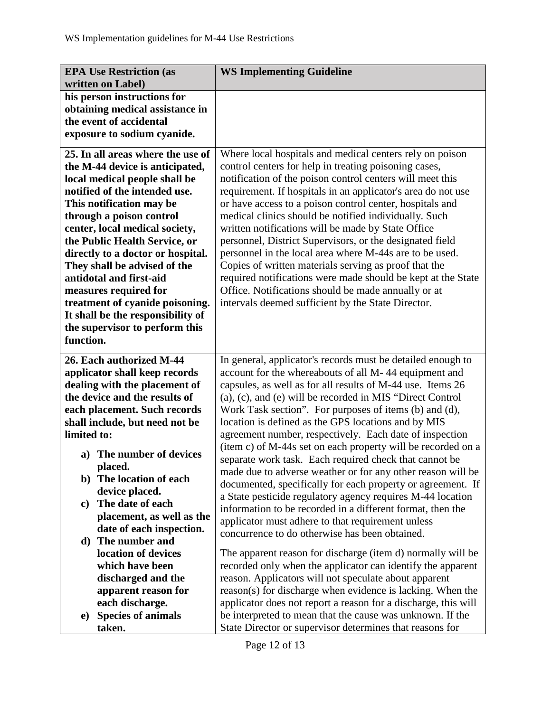| <b>EPA Use Restriction (as</b>                   | <b>WS Implementing Guideline</b>                                                                    |
|--------------------------------------------------|-----------------------------------------------------------------------------------------------------|
| written on Label)<br>his person instructions for |                                                                                                     |
| obtaining medical assistance in                  |                                                                                                     |
| the event of accidental                          |                                                                                                     |
| exposure to sodium cyanide.                      |                                                                                                     |
| 25. In all areas where the use of                | Where local hospitals and medical centers rely on poison                                            |
| the M-44 device is anticipated,                  | control centers for help in treating poisoning cases,                                               |
| local medical people shall be                    | notification of the poison control centers will meet this                                           |
| notified of the intended use.                    | requirement. If hospitals in an applicator's area do not use                                        |
| This notification may be                         | or have access to a poison control center, hospitals and                                            |
| through a poison control                         | medical clinics should be notified individually. Such                                               |
| center, local medical society,                   | written notifications will be made by State Office                                                  |
| the Public Health Service, or                    | personnel, District Supervisors, or the designated field                                            |
| directly to a doctor or hospital.                | personnel in the local area where M-44s are to be used.                                             |
| They shall be advised of the                     | Copies of written materials serving as proof that the                                               |
| antidotal and first-aid                          | required notifications were made should be kept at the State                                        |
| measures required for                            | Office. Notifications should be made annually or at                                                 |
| treatment of cyanide poisoning.                  | intervals deemed sufficient by the State Director.                                                  |
| It shall be the responsibility of                |                                                                                                     |
| the supervisor to perform this                   |                                                                                                     |
| function.                                        |                                                                                                     |
| 26. Each authorized M-44                         | In general, applicator's records must be detailed enough to                                         |
| applicator shall keep records                    | account for the whereabouts of all M-44 equipment and                                               |
| dealing with the placement of                    | capsules, as well as for all results of M-44 use. Items 26                                          |
| the device and the results of                    | (a), (c), and (e) will be recorded in MIS "Direct Control                                           |
| each placement. Such records                     | Work Task section". For purposes of items (b) and (d),                                              |
| shall include, but need not be                   | location is defined as the GPS locations and by MIS                                                 |
| limited to:                                      | agreement number, respectively. Each date of inspection                                             |
| a) The number of devices                         | (item c) of M-44s set on each property will be recorded on a                                        |
| placed.                                          | separate work task. Each required check that cannot be                                              |
| The location of each<br>b)                       | made due to adverse weather or for any other reason will be                                         |
| device placed.                                   | documented, specifically for each property or agreement. If                                         |
| The date of each<br>$\mathbf{c})$                | a State pesticide regulatory agency requires M-44 location                                          |
| placement, as well as the                        | information to be recorded in a different format, then the                                          |
| date of each inspection.                         | applicator must adhere to that requirement unless<br>concurrence to do otherwise has been obtained. |
| The number and<br>d)                             |                                                                                                     |
| location of devices                              | The apparent reason for discharge (item d) normally will be                                         |
| which have been                                  | recorded only when the applicator can identify the apparent                                         |
| discharged and the                               | reason. Applicators will not speculate about apparent                                               |
| apparent reason for                              | reason(s) for discharge when evidence is lacking. When the                                          |
| each discharge.                                  | applicator does not report a reason for a discharge, this will                                      |
| <b>Species of animals</b><br>e)                  | be interpreted to mean that the cause was unknown. If the                                           |
| taken.                                           | State Director or supervisor determines that reasons for                                            |